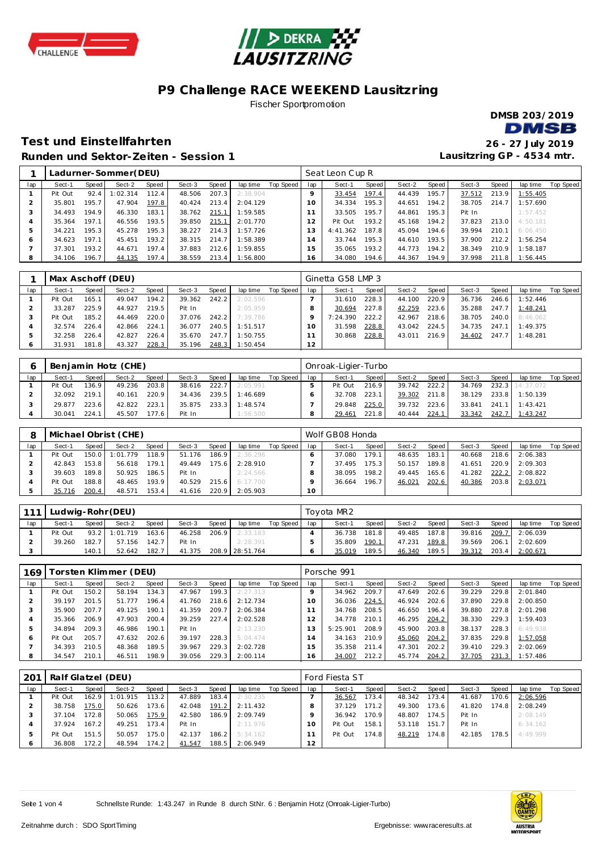



### **P9 Challenge RACE WEEKEND Lausitzring** Fischer Sportpromotion

**DMSB 203/2019 DMSB** 

**Lausitzring GP - 4534 mtr.**

### **Test und Einste llfahrten 26 - 27 July 2019 Runden und Sektor-Ze iten - Session 1**

|     |         |       | Ladurner-Sommer(DEU) |       |        |       |          |           |         | Seat Leon Cup R |       |        |       |        |       |          |                  |
|-----|---------|-------|----------------------|-------|--------|-------|----------|-----------|---------|-----------------|-------|--------|-------|--------|-------|----------|------------------|
| lap | Sect-1  | Speed | Sect-2               | Speed | Sect-3 | Speed | lap time | Top Speed | lap     | Sect-1          | Speed | Sect-2 | Speed | Sect-3 | Speed | lap time | <b>Top Speed</b> |
|     | Pit Out | 92.4  | :02.314              | 112.4 | 48.506 | 207.3 | 2:38.904 |           | $\circ$ | 33.454          | 197.4 | 44.439 | 195.7 | 37.512 | 213.9 | 1:55.405 |                  |
|     | 35.801  | 195.7 | 47.904               | 197.8 | 40.424 | 213.4 | 2:04.129 |           | 10      | 34.334          | 195.3 | 44.651 | 194.2 | 38.705 | 214.7 | 1:57.690 |                  |
|     | 34.493  | 194.9 | 46.330               | 183.1 | 38.762 | 215.1 | 1:59.585 |           |         | 33.505          | 195.7 | 44.861 | 195.3 | Pit In |       | 1:57.452 |                  |
| 4   | 35.364  | 197.1 | 46.556               | 193.5 | 39.850 | 215.1 | 2:01.770 |           | 12      | Pit Out         | 193.2 | 45.168 | 194.2 | 37.823 | 213.0 | 4:50.181 |                  |
| 5   | 34.221  | 195.3 | 45.278               | 195.3 | 38.227 | 214.3 | 1:57.726 |           | 13      | 4:41.362        | 187.8 | 45.094 | 194.6 | 39.994 | 210.1 | 6:06.450 |                  |
| Ô   | 34.623  | 197.1 | 45.451               | 193.2 | 38.315 | 214.7 | 1:58.389 |           | , 4     | 33.744          | 195.3 | 44.610 | 193.5 | 37.900 | 212.2 | 1:56.254 |                  |
|     | 37.301  | 193.2 | 44.671               | 197.4 | 37.883 | 212.6 | 1:59.855 |           | 15      | 35.065          | 193.2 | 44.773 | 194.2 | 38.349 | 210.9 | 1:58.187 |                  |
| 8   | 34.106  | 196.7 | 44.135               | 197.4 | 38.559 | 213.4 | 1:56.800 |           | 16      | 34.080          | 194.6 | 44.367 | 194.9 | 37.998 | 211.8 | 1:56.445 |                  |

|     | Max Aschoff (DEU) |       |        |       |        |       |          |           |     | Ginetta G58 LMP 3 |       |        |       |        |       |          |           |
|-----|-------------------|-------|--------|-------|--------|-------|----------|-----------|-----|-------------------|-------|--------|-------|--------|-------|----------|-----------|
| lap | Sect-1            | Speed | Sect-2 | Speed | Sect-3 | Speed | lap time | Top Speed | lap | Sect-1            | Speed | Sect-2 | Speed | Sect-3 | Speed | lap time | Top Speed |
|     | Pit Out           | 165.1 | 49.047 | 194.2 | 39.362 | 242.2 | 2:02.596 |           |     | 31.610            | 228.3 | 44.100 | 220.9 | 36.736 | 246.6 | 1:52.446 |           |
|     | 33.287            | 225.9 | 44.927 | 219.5 | Pit In |       | 2:05.959 |           |     | 30.694            | 227.8 | 42.259 | 223.6 | 35.288 | 247.7 | 1:48.241 |           |
|     | Pit Out           | 185.2 | 44.469 | 220.0 | 37.076 | 242.2 | 7:39.786 |           |     | 7:24.390          | 222.2 | 42.967 | 218.6 | 38.705 | 240.0 | 8:46.062 |           |
|     | 32.574            | 226.4 | 42.866 | 224.1 | 36.077 | 240.5 | 1:51.517 |           |     | 31.598            | 228.8 | 43.042 | 224.5 | 34.735 | 247.1 | 1:49.375 |           |
|     | 32.258            | 226.4 | 42.827 | 226.4 | 35.670 | 247.7 | 1:50.755 |           |     | 30.868            | 228.8 | 43.011 | 216.9 | 34.402 | 247.7 | 1:48.281 |           |
|     | 31.931            | 181.8 | 43.327 | 228.3 | 35.196 | 248.3 | 1:50.454 |           | 12  |                   |       |        |       |        |       |          |           |

|     |         |       | Benjamin Hotz (CHE) |       |        |       |          |           |     | Onroak-Ligier-Turbo |       |        |       |        |       |                 |           |
|-----|---------|-------|---------------------|-------|--------|-------|----------|-----------|-----|---------------------|-------|--------|-------|--------|-------|-----------------|-----------|
| lap | Sect-1  | Speed | Sect-2              | Speed | Sect-3 | Speed | lap time | Top Speed | lap | Sect-1              | Speed | Sect-2 | Speed | Sect-3 | Speed | lap time        | Top Speed |
|     | Pit Out | 136.9 | 49.236              | 203.8 | 38.616 | 222.7 | 2:05.991 |           |     | Pit Out             | 216.9 | 39.742 | 222.2 | 34.769 |       | 232.3 14:37.072 |           |
|     | 32.092  | 2191  | 40.161              | 220.9 | 34.436 | 239.5 | 1:46.689 |           |     | 32.708              | 223.1 | 39.302 | 211.8 | 38.129 | 233.8 | 1:50.139        |           |
|     | 29.877  | 223.6 | 42.822              | 223.1 | 35.875 | 233.3 | 1:48.574 |           |     | 29.848              | 225.0 | 39.732 | 223.6 | 33.841 | 241.1 | 1:43.421        |           |
|     | 30.041  | 224.1 | 45.507              | 177.6 | Pit In |       | 1:56.500 |           |     | 29.461              | 221.8 | 40.444 | 224.1 | 33.342 | 242.7 | 1:43.247        |           |

|     |         |       | Michael Obrist (CHE) |       |        |       |          |           |     | Wolf GB08 Honda |       |        |       |        |       |          |           |
|-----|---------|-------|----------------------|-------|--------|-------|----------|-----------|-----|-----------------|-------|--------|-------|--------|-------|----------|-----------|
| lap | Sect-1  | Speed | Sect-2               | Speed | Sect-3 | Speed | lap time | Top Speed | lap | Sect-1          | Speed | Sect-2 | Speed | Sect-3 | Speed | lap time | Top Speed |
|     | Pit Out | 150.0 | 1:01.779             | 118.9 | 51.176 | 186.9 | 2:36.296 |           |     | 37.080          | 179.1 | 48.635 | 183.1 | 40.668 | 218.6 | 2:06.383 |           |
|     | 42.843  | 153.8 | 56.618               | 179.1 | 49.449 | 175.6 | 2:28.910 |           |     | 37.495          | 175.3 | 50.157 | 189.8 | 41.651 | 220.9 | 2:09.303 |           |
|     | 39.603  | 189.8 | 50.925               | 186.5 | Pit In |       | 2:24.566 |           |     | 38.095          | 198.2 | 49.445 | 165.6 | 41.282 | 222.2 | 2:08.822 |           |
|     | Pit Out | 188.8 | 48.465               | 193.9 | 40.529 | 215.6 | 6:17.700 |           |     | 36.664          | 196.7 | 46.021 | 202.6 | 40.386 | 203.8 | 2:03.071 |           |
|     | 35.716  | 200.4 | 48.571               | 153.4 | 41.616 | 220.9 | 2:05.903 |           | 10  |                 |       |        |       |        |       |          |           |

| 111 |         |         | Ludwig-Rohr (DEU) |       |        |       |                 |           |     | Tovota MR2 |       |        |       |        |       |                       |           |
|-----|---------|---------|-------------------|-------|--------|-------|-----------------|-----------|-----|------------|-------|--------|-------|--------|-------|-----------------------|-----------|
| lap | Sect-1  | Speed I | Sect-2            | Speed | Sect-3 | Speed | lap time        | Top Speed | lap | Sect-1     | Speed | Sect-2 | Speed | Sect-3 | Speed | lap time              | Top Speed |
|     | Pit Out |         | 93.2 1:01.719     | 163.6 | 46.258 | 206.9 | 2:33.183        |           |     | 36.738     | 181.8 | 49.485 | 187.8 |        |       | 39.816 209.7 2:06.039 |           |
|     | 39.260  | 182.7   | 57.156            | 142.7 | Pit In |       | 2:28.391        |           |     | 35.809     | 190.1 | 47.231 | 189.8 | 39.569 |       | 206.1 2:02.609        |           |
|     |         | 140.1   | 52.642            | 182.7 | 41.375 |       | 208.9 28:51.764 |           |     | 35.019     | 189.5 | 46.340 | 189.5 | 39.312 | 203.4 | 2:00.671              |           |

| 169     |         |       | Forsten Klimmer (DEU) |       |        |       |           |           |          | Porsche 991 |       |        |       |        |       |          |           |
|---------|---------|-------|-----------------------|-------|--------|-------|-----------|-----------|----------|-------------|-------|--------|-------|--------|-------|----------|-----------|
| lap     | Sect-1  | Speed | Sect-2                | Speed | Sect-3 | Speed | lap time  | Top Speed | lap      | Sect-1      | Speed | Sect-2 | Speed | Sect-3 | Speed | lap time | Top Speed |
|         | Pit Out | 150.2 | 58.194                | 134.3 | 47.967 | 199.3 | 2: 27.313 |           | Q        | 34.962      | 209.7 | 47.649 | 202.6 | 39.229 | 229.8 | 2:01.840 |           |
|         | 39.197  | 201.5 | 51.777                | 196.4 | 41.760 | 218.6 | 2:12.734  |           | $10^{-}$ | 36.036      | 224.5 | 46.924 | 202.6 | 37.890 | 229.8 | 2:00.850 |           |
|         | 35.900  | 207.7 | 49.125                | 190.1 | 41.359 | 209.7 | 2:06.384  |           |          | 34.768      | 208.5 | 46.650 | 196.4 | 39.880 | 227.8 | 2:01.298 |           |
| 4       | 35.366  | 206.9 | 47.903                | 200.4 | 39.259 | 227.4 | 2:02.528  |           |          | 34.778      | 210.1 | 46.295 | 204.2 | 38.330 | 229.3 | 1:59.403 |           |
| 5       | 34.894  | 209.3 | 46.986                | 190.1 | Pit In |       | 2:13.230  |           |          | 5:25.901    | 208.9 | 45.900 | 203.8 | 38.137 | 228.3 | 6:49.938 |           |
| $\circ$ | Pit Out | 205.7 | 47.632                | 202.6 | 39.197 | 228.3 | 5:04.474  |           | 4        | 34.163      | 210.9 | 45.060 | 204.2 | 37.835 | 229.8 | 1:57.058 |           |
|         | 34.393  | 210.5 | 48.368                | 189.5 | 39.967 | 229.3 | 2:02.728  |           | í 5.     | 35.358      | 211.4 | 47.301 | 202.2 | 39.410 | 229.3 | 2:02.069 |           |
| 8       | 34.547  | 210.1 | 46.511                | 198.9 | 39.056 | 229.3 | 2:00.114  |           | 16.      | 34.007      | 212.2 | 45.774 | 204.2 | 37.705 | 231.3 | 1:57.486 |           |

| 201     | Ralf Glatzel (DEU) |       |          |       |        |       |          |           |     | Ford Fiesta ST |       |        |       |        |       |          |           |
|---------|--------------------|-------|----------|-------|--------|-------|----------|-----------|-----|----------------|-------|--------|-------|--------|-------|----------|-----------|
| lap     | Sect-1             | Speed | Sect-2   | Speed | Sect-3 | Speed | lap time | Top Speed | lap | Sect-1         | Speed | Sect-2 | Speed | Sect-3 | Speed | lap time | Top Speed |
|         | Pit Out            | 162.9 | 1:01.915 | 113.2 | 47.889 | 183.4 | 2:30.235 |           |     | 36.567         | 173.4 | 48.342 | 173.4 | 41.687 | 170.6 | 2:06.596 |           |
|         | 38.758             | 175.0 | 50.626   | 173.6 | 42.048 | 191.2 | 2:11.432 |           |     | 37.129         | 171.2 | 49.300 | 173.6 | 41.820 | 174.8 | 2:08.249 |           |
|         | 37.104             | 172.8 | 50.065   | 175.9 | 42.580 | 186.9 | 2:09.749 |           |     | 36.942         | 170.9 | 48.807 | 174.5 | Pit In |       | 2:08.149 |           |
|         | 37.924             | 167.2 | 49.251   | 173.4 | Pit In |       | 2:11.976 |           |     | Pit Out        | 158.1 | 53.118 | 151.7 | Pit In |       | 6:34.162 |           |
|         | Pit Out            | 151.5 | 50.057   | 175.0 | 42.137 | 186.2 | 5:34.162 |           |     | Pit Out        | 174.8 | 48.219 | 174.8 | 42.185 | 178.5 | 4:49.999 |           |
| $\circ$ | 36.808             | 172.2 | 48.594   | 174.2 | 41.547 | 188.5 | 2:06.949 |           | 12  |                |       |        |       |        |       |          |           |

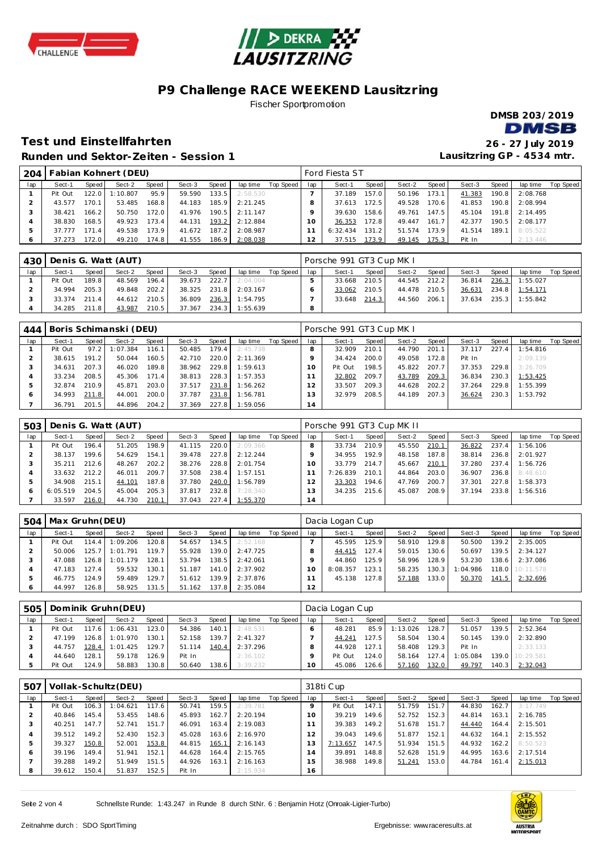



### **P9 Challenge RACE WEEKEND Lausitzring** Fischer Sportpromotion

**DMSB 203/2019** 

**Lausitzring GP - 4534 mtr.**

### **Test und Einste llfahrten 26 - 27 July 2019 Runden und Sektor-Ze iten - Session 1**

| 204 |         |       | Fabian Kohnert (DEU) |       |        |       |          |           |     | Ford Fiesta ST |       |        |       |        |       |          |           |
|-----|---------|-------|----------------------|-------|--------|-------|----------|-----------|-----|----------------|-------|--------|-------|--------|-------|----------|-----------|
| lap | Sect-1  | Speed | Sect-2               | Speed | Sect-3 | Speed | lap time | Top Speed | lap | Sect-1         | Speed | Sect-2 | Speed | Sect-3 | Speed | lap time | Top Speed |
|     | Pit Out | 122.0 | $\pm 10.807$         | 95.9  | 59.590 | 133.5 | 2:58.530 |           |     | 37.189         | 157.0 | 50.196 | 173.1 | 41.383 | 190.8 | 2:08.768 |           |
|     | 43.577  | 170.1 | 53.485               | 168.8 | 44.183 | 185.9 | 2:21.245 |           |     | 37.613         | 172.5 | 49.528 | 170.6 | 41.853 | 190.8 | 2:08.994 |           |
|     | 38.421  | 166.2 | 50.750               | 172.0 | 41.976 | 190.5 | 2:11.147 |           |     | 39.630         | 158.6 | 49.761 | 147.5 | 45.104 | 191.8 | 2:14.495 |           |
|     | 38.830  | 168.5 | 49.923               | 173.4 | 44.131 | 193.2 | 2:12.884 |           | 10  | 36.353         | 172.8 | 49.447 | 161.7 | 42.377 | 190.5 | 2:08.177 |           |
|     | 37.777  | 171.4 | 49.538               | 173.9 | 41.672 | 187.2 | 2:08.987 |           |     | 6:32.434       | 131.2 | 51.574 | 173.9 | 41.514 | 189.1 | 8:05.522 |           |
|     | 37.273  | 172.0 | 49.210               | 174.8 | 41.555 | 186.9 | 2:08.038 |           | 12  | 37.515         | 173.9 | 49.145 | 175.3 | Pit In |       | 2:13.446 |           |

| 430 |         |       | Denis G. Watt (AUT) |       |        |       |          |           |     | Porsche 991 GT3 Cup MK I |       |              |         |        |       |          |           |
|-----|---------|-------|---------------------|-------|--------|-------|----------|-----------|-----|--------------------------|-------|--------------|---------|--------|-------|----------|-----------|
| lap | Sect-1  | Speed | Sect-2              | Speed | Sect-3 | Speed | lap time | Top Speed | lap | Sect-1                   | Speed | Sect-2       | Speed i | Sect-3 | Speed | lap time | Top Speed |
|     | Pit Out | 189.8 | 48.569              | 196.4 | 39.673 | 222.7 | 2:04.004 |           |     | 33.668                   | 210.5 | 44.545       | 212.2   | 36.814 | 236.3 | 1:55.027 |           |
|     | 34.994  | 205.3 | 49.848              | 202.2 | 38.325 | 231.8 | 2:03.167 |           |     | 33.062                   | 210.5 | 44.478 210.5 |         | 36.631 | 234.8 | 1:54.171 |           |
|     | 33.374  | 211.4 | 44.612              | 210.5 | 36.809 | 236.3 | 1:54.795 |           |     | 33.648                   | 214.3 | 44.560       | 206.1   | 37.634 | 235.3 | 1:55.842 |           |
|     | 34.285  | 211.8 | 43.987              | 210.5 | 37.367 | 234.3 | 1:55.639 |           |     |                          |       |              |         |        |       |          |           |

| 444 |         |       | Boris Schimanski (DEU) |       |        |       |          |           |               | Porsche 991 GT3 Cup MK I |       |        |       |        |       |          |           |
|-----|---------|-------|------------------------|-------|--------|-------|----------|-----------|---------------|--------------------------|-------|--------|-------|--------|-------|----------|-----------|
| lap | Sect-1  | Speed | Sect-2                 | Speed | Sect-3 | Speed | lap time | Top Speed | lap           | Sect-1                   | Speed | Sect-2 | Speed | Sect-3 | Speed | lap time | Top Speed |
|     | Pit Out | 97.2  | : 07.384               | 116.1 | 50.485 | 179.4 | 2:45.738 |           |               | 32.909                   | 210.1 | 44.790 | 201.  | 37.117 | 227.4 | 1:54.816 |           |
|     | 38.615  | 191.2 | 50.044                 | 160.5 | 42.710 | 220.0 | 2:11.369 |           |               | 34.424                   | 200.0 | 49.058 | 172.8 | Pit In |       | 2:09.139 |           |
|     | 34.631  | 207.3 | 46.020                 | 189.8 | 38.962 | 229.8 | 1:59.613 |           |               | Pit Out                  | 198.5 | 45.822 | 207.7 | 37.353 | 229.8 | 3:26.709 |           |
|     | 33.234  | 208.5 | 45.306                 | 171.4 | 38.813 | 228.3 | 1:57.353 |           |               | 32.802                   | 209.7 | 43.789 | 209.3 | 36.834 | 230.3 | 1:53.425 |           |
|     | 32.874  | 210.9 | 45.871                 | 203.0 | 37.517 | 231.8 | 1:56.262 |           | $\mathcal{P}$ | 33.507                   | 209.3 | 44.628 | 202.2 | 37.264 | 229.8 | 1:55.399 |           |
| ō   | 34.993  | 211.8 | 44.001                 | 200.0 | 37.787 | 231.8 | 1:56.781 |           | 3             | 32.979                   | 208.5 | 44.189 | 207.3 | 36.624 | 230.3 | 1:53.792 |           |
|     | 36.791  | 201.5 | 44.896                 | 204.2 | 37.369 | 227.8 | 1:59.056 |           | 14            |                          |       |        |       |        |       |          |           |

| 503          |          |       | Denis G. Watt (AUT) |       |        |       |          |           |     | Porsche 991 GT3 Cup MK II |       |        |       |        |       |          |           |
|--------------|----------|-------|---------------------|-------|--------|-------|----------|-----------|-----|---------------------------|-------|--------|-------|--------|-------|----------|-----------|
| lap          | Sect-1   | Speed | Sect-2              | Speed | Sect-3 | Speed | lap time | Top Speed | lap | Sect-1                    | Speed | Sect-2 | Speed | Sect-3 | Speed | lap time | Top Speed |
|              | Pit Out  | 196.4 | 51.205              | 198.9 | 41.115 | 220.0 | 2:09.366 |           |     | 33.734                    | 210.9 | 45.550 | 210.1 | 36.822 | 237.4 | 1:56.106 |           |
|              | 38.137   | 199.6 | 54.629              | 154.1 | 39.478 | 227.8 | 2:12.244 |           |     | 34.955                    | 192.9 | 48.158 | 187.8 | 38.814 | 236.8 | 2:01.927 |           |
| $\cdot$      | 35.211   | 212.6 | 48.267              | 202.2 | 38.276 | 228.8 | 2:01.754 |           |     | 33.779                    | 214.7 | 45.667 | 210.1 | 37.280 | 237.4 | 1:56.726 |           |
|              | 33.632   | 212.2 | 46.011              | 209.7 | 37.508 | 238.4 | 1:57.151 |           |     | 7:26.839                  | 210.1 | 44.864 | 203.0 | 36.907 | 236.8 | 8:48.610 |           |
| 5            | 34.908   | 215.1 | 44.101              | 187.8 | 37.780 | 240.0 | 1:56.789 |           |     | 33.303                    | 194.6 | 47.769 | 200.7 | 37.301 | 227.8 | 1:58.373 |           |
| <sub>6</sub> | 6:05.519 | 204.5 | 45.004              | 205.3 | 37.817 | 232.8 | 7:28.340 |           |     | 34.235                    | 215.6 | 45.087 | 208.9 | 37.194 | 233.8 | 1:56.516 |           |
|              | 33.597   | 216.0 | 44.730              | 210.1 | 37.043 | 227.4 | 1:55.370 |           | 14  |                           |       |        |       |        |       |          |           |

| 504 | Max Gruhn (DEU) |       |                  |       |        |       |          |           |     | Dacia Logan Cup |        |        |       |          |       |                  |           |
|-----|-----------------|-------|------------------|-------|--------|-------|----------|-----------|-----|-----------------|--------|--------|-------|----------|-------|------------------|-----------|
| lap | Sect-1          | Speed | Sect-2           | Speed | Sect-3 | Speed | lap time | Top Speed | lap | Sect-1          | Speed  | Sect-2 | Speed | Sect-3   | Speed | lap time         | Top Speed |
|     | Pit Out         |       | 114.4 1:09.206   | 120.8 | 54.657 | 134.5 | 2:52.168 |           |     | 45.595          | 125.9  | 58.910 | 129.8 | 50.500   |       | $139.2$ 2:35.005 |           |
|     | 50.006          |       | $125.7$ 1:01.791 | 119.7 | 55.928 | 139.0 | 2:47.725 |           |     | 44.415          | 127.41 | 59.015 | 130.6 | 50.697   |       | 139.5 2:34.127   |           |
|     | 47.088          |       | 126.8 1:01.179   | 128.1 | 53.794 | 138.5 | 2:42.061 |           |     | 44.860          | 125.9  | 58.996 | 128.9 | 53.230   |       | 138.6 2:37.086   |           |
|     | 47.183          | 127.4 | 59.532           | 130.1 | 51.187 | 141.0 | 2:37.902 |           |     | 8:08.357        | 123.1  | 58.235 | 130.3 | 1:04.986 |       | 118.0 10:11.578  |           |
|     | 46.775          | 124.9 | 59.489           | 129.7 | 51.612 | 139.9 | 2:37.876 |           |     | 45.138          | 127.8  | 57.188 | 133.0 | 50.370   |       | 141.5 2:32.696   |           |
|     | 44.997          | 126.8 | 58.925           | 131.5 | 51.162 | 137.8 | 2:35.084 |           | 12  |                 |        |        |       |          |       |                  |           |

| 505 |         |       | Dominik Gruhn (DEU) |       |        |       |          |           |         | Dacia Logan Cup |        |          |       |          |       |                  |           |
|-----|---------|-------|---------------------|-------|--------|-------|----------|-----------|---------|-----------------|--------|----------|-------|----------|-------|------------------|-----------|
| lap | Sect-1  | Speed | Sect-2              | Speed | Sect-3 | Speed | lap time | Top Speed | lap     | Sect-1          | Speed  | Sect-2   | Speed | Sect-3   | Speed | lap time         | Top Speed |
|     | Pit Out |       | 117.6 1:06.431      | 123.0 | 54.386 | 140.1 | 2:48.531 |           |         | 48.281          | 85.9   | 1:13.026 | 128.7 | 51.057   |       | $139.5$ 2:52.364 |           |
|     | 47.199  |       | 126.8 1:01.970      | 130.1 | 52.158 | 139.7 | 2:41.327 |           |         | 44.241          | 127.5  | 58.504   | 130.4 | 50.145   |       | 139.0 2:32.890   |           |
|     | 44.757  |       | 128.4 1:01.425      | 129.7 | 51.114 | 140.4 | 2:37.296 |           |         | 44.928          | 127.1  | 58.408   | 129.3 | Pit In   |       | 2:33.133         |           |
|     | 44.640  | 128.1 | 59.178              | 126.9 | Pit In |       | 2:36.102 |           |         | Pit Out         | 124.0. | 58.164   | 127.4 | 1:05.084 |       | 139.0 10:29.581  |           |
|     | Pit Out | 124.9 | 58.883              | 130.8 | 50.640 | 138.6 | 3:39.232 |           | $10-10$ | 45.086          | 126.6  | 57.160   | 132.0 | 49.797   |       | 140.3 2:32.043   |           |

| 507 |         |       | Vollak-Schultz (DEU) |       |        |       |          |           |     | 318ti Cup |       |        |       |        |       |          |           |
|-----|---------|-------|----------------------|-------|--------|-------|----------|-----------|-----|-----------|-------|--------|-------|--------|-------|----------|-----------|
| lap | Sect-1  | Speed | Sect-2               | Speed | Sect-3 | Speed | lap time | Top Speed | lap | Sect-1    | Speed | Sect-2 | Speed | Sect-3 | Speed | lap time | Top Speed |
|     | Pit Out | 106.3 | 1:04.621             | 117.6 | 50.741 | 159.5 | 2:39.781 |           |     | Pit Out   | 147.1 | 51.759 | 151.7 | 44.830 | 162.7 | 3:17.749 |           |
|     | 40.846  | 145.4 | 53.455               | 148.6 | 45.893 | 162.7 | 2:20.194 |           |     | 39.219    | 149.6 | 52.752 | 152.3 | 44.814 | 163.1 | 2:16.785 |           |
|     | 40.251  | 147.7 | 52.741               | 151.7 | 46.091 | 163.4 | 2:19.083 |           |     | 39.383    | 149.2 | 51.678 | 151.7 | 44.440 | 164.4 | 2:15.501 |           |
|     | 39.512  | 149.2 | 52.430               | 152.3 | 45.028 | 163.6 | 2:16.970 |           |     | 39.043    | 149.6 | 51.877 | 152.1 | 44.632 | 164.1 | 2:15.552 |           |
| b   | 39.327  | 150.8 | 52.001               | 153.8 | 44.815 | 165.1 | 2:16.143 |           | 3   | 7:13.657  | 147.5 | 51.934 | 151.5 | 44.932 | 162.2 | 8:50.523 |           |
| c   | 39.196  | 149.4 | 51.941               | 152.1 | 44.628 | 164.4 | 2:15.765 |           | 4   | 39.891    | 148.8 | 52.628 | 151.9 | 44.995 | 163.6 | 2:17.514 |           |
|     | 39.288  | 149.2 | 51.949               | 151.5 | 44.926 | 163.1 | 2:16.163 |           | 5   | 38.988    | 149.8 | 51.241 | 153.0 | 44.784 | 161.4 | 2:15.013 |           |
| -8  | 39.612  | 150.4 | 51.837               | 152.5 | Pit In |       | 2:15.934 |           | 16  |           |       |        |       |        |       |          |           |

Seite 2 von 4 Schnellste Runde: 1:43.247 in Runde 8 durch StNr. 6 : Benjamin Hotz (Onroak-Ligier-Turbo)

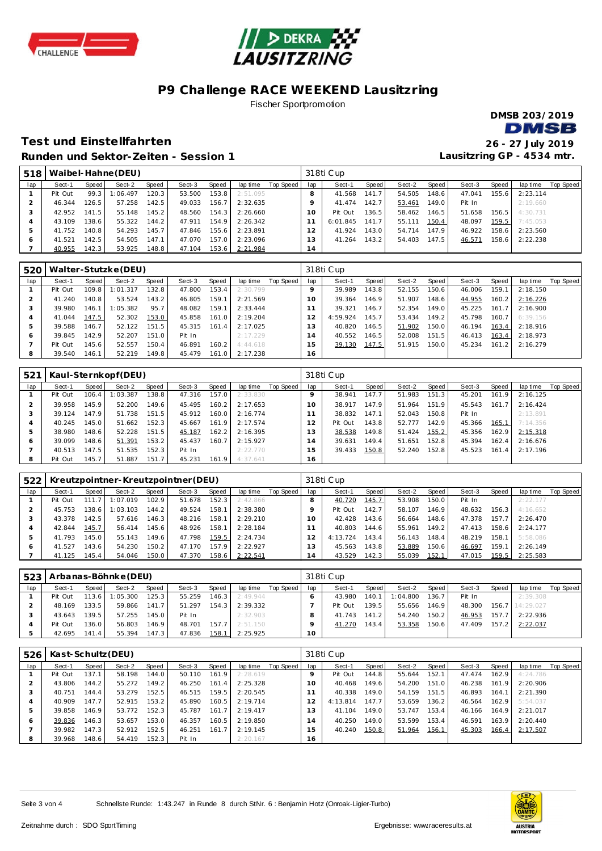



# **P9 Challenge RACE WEEKEND Lausitzring**

Fischer Sportpromotion



## **Test und Einste llfahrten 26 - 27 July 2019 Runden und Sektor-Ze iten - Session 1**

|                |         |       | Runden und Sektor-Zeiten - Session 1 |       |        |       |          |           |                |           |       |        |       | Lausitzring GP - 4534 mtr. |       |          |           |
|----------------|---------|-------|--------------------------------------|-------|--------|-------|----------|-----------|----------------|-----------|-------|--------|-------|----------------------------|-------|----------|-----------|
| 518            |         |       | Waibel-Hahne (DEU)                   |       |        |       |          |           |                | 318ti Cup |       |        |       |                            |       |          |           |
| lap            | Sect-1  | Speed | Sect-2                               | Speed | Sect-3 | Speed | lap time | Top Speed | lap            | Sect-1    | Speed | Sect-2 | Speed | Sect-3                     | Speed | lap time | Top Speed |
|                | Pit Out | 99.3  | 1:06.497                             | 120.3 | 53.500 | 153.8 | 2:51.095 |           | 8              | 41.568    | 141.7 | 54.505 | 148.6 | 47.041                     | 155.6 | 2:23.114 |           |
| 2              | 46.344  | 126.5 | 57.258                               | 142.5 | 49.033 | 156.7 | 2:32.635 |           |                | 41.474    | 142.7 | 53.461 | 149.0 | Pit In                     |       | 2:19.660 |           |
| 3              | 42.952  | 141.5 | 55.148                               | 145.2 | 48.560 | 154.3 | 2:26.660 |           | $10^{-}$       | Pit Out   | 136.5 | 58.462 | 146.5 | 51.658                     | 156.5 | 4:30.731 |           |
| $\overline{4}$ | 43.109  | 138.6 | 55.322                               | 144.2 | 47.911 | 154.9 | 2:26.342 |           |                | 6:01.845  | 141.7 | 55.111 | 150.4 | 48.097                     | 159.5 | 7:45.053 |           |
| 5              | 41.752  | 140.8 | 54.293                               | 145.7 | 47.846 | 155.6 | 2:23.891 |           |                | 41.924    | 143.0 | 54.714 | 147.9 | 46.922                     | 158.6 | 2:23.560 |           |
| 6              | 41.521  | 142.5 | 54.505                               | 147.1 | 47.070 | 157.0 | 2:23.096 |           | $\overline{3}$ | 41.264    | 143.2 | 54.403 | 147.5 | 46.571                     | 158.6 | 2:22.238 |           |
|                | 40.955  | 142.3 | 53.925                               | 148.8 | 47.104 | 153.6 | 2:21.984 |           | 14             |           |       |        |       |                            |       |          |           |
|                |         |       |                                      |       |        |       |          |           |                |           |       |        |       |                            |       |          |           |

| 520           |         |       | Walter-Stutzke (DEU) |       |        |       |          |           |          | 318ti Cup |                    |        |       |        |       |          |                  |
|---------------|---------|-------|----------------------|-------|--------|-------|----------|-----------|----------|-----------|--------------------|--------|-------|--------|-------|----------|------------------|
| lap           | Sect-1  | Speed | Sect-2               | Speed | Sect-3 | Speed | lap time | Top Speed | lap      | Sect-1    | Speed              | Sect-2 | Speed | Sect-3 | Speed | lap time | <b>Top Speed</b> |
|               | Pit Out | 109.8 | 1:01.317             | 132.8 | 47.800 | 153.4 | 2:30.799 |           |          | 39.989    | 143.8              | 52.155 | 150.6 | 46.006 | 159.1 | 2:18.150 |                  |
|               | 41.240  | 140.8 | 53.524               | 143.2 | 46.805 | 159.1 | 2:21.569 |           | $\Omega$ | 39.364    | 146.9              | 51.907 | 148.6 | 44.955 | 160.2 | 2:16.226 |                  |
|               | 39.980  | 146.1 | 1:05.382             | 95.7  | 48.082 | 159.1 | 2:33.444 |           |          | 39.321    | 146.7              | 52.354 | 149.0 | 45.225 | 161.7 | 2:16.900 |                  |
|               | 41.044  | 147.5 | 52.302               | 153.0 | 45.858 | 161.0 | 2:19.204 |           |          | 4:59.924  | 145.7              | 53.434 | 149.2 | 45.798 | 160.7 | 6:39.156 |                  |
| $\mathcal{P}$ | 39.588  | 146.7 | 52.122               | 151.5 | 45.315 | 161.4 | 2:17.025 |           |          | 40.820    | 146.5              | 51.902 | 150.0 | 46.194 | 163.4 | 2:18.916 |                  |
| O             | 39.845  | 142.9 | 52.207               | 151.0 | Pit In |       | 2:17.229 |           | 4        | 40.552    | 146.5 <sub>1</sub> | 52.008 | 151.5 | 46.413 | 163.4 | 2:18.973 |                  |
|               | Pit Out | 145.6 | 52.557               | 150.4 | 46.891 | 160.2 | 4:44.618 |           |          | 39.130    | 147.5              | 51.915 | 150.0 | 45.234 | 161.2 | 2:16.279 |                  |
| 8             | 39.540  | 146.1 | 52.219               | 149.8 | 45.479 | 161.0 | 2:17.238 |           | 16       |           |                    |        |       |        |       |          |                  |

| 521           |         |       | Kaul-Sternkopf(DEU) |       |        |       |          |           |     | 318ti Cup |                    |        |       |        |       |          |           |
|---------------|---------|-------|---------------------|-------|--------|-------|----------|-----------|-----|-----------|--------------------|--------|-------|--------|-------|----------|-----------|
| lap           | Sect-1  | Speed | Sect-2              | Speed | Sect-3 | Speed | lap time | Top Speed | lap | Sect-1    | Speed              | Sect-2 | Speed | Sect-3 | Speed | lap time | Top Speed |
|               | Pit Out | 106.4 | : 03.387            | 138.8 | 47.316 | 157.0 | 2:33.830 |           |     | 38.941    | 147.7              | 51.983 | 151.3 | 45.201 | 161.9 | 2:16.125 |           |
|               | 39.958  | 145.9 | 52.200              | 149.6 | 45.495 | 160.2 | 2:17.653 |           | 10  | 38.917    | 147.9              | 51.964 | 151.9 | 45.543 | 161.7 | 2:16.424 |           |
|               | 39.124  | 147.9 | 51.738              | 151.5 | 45.912 | 160.0 | 2:16.774 |           |     | 38.832    | 147.1              | 52.043 | 150.8 | Pit In |       | 2:13.891 |           |
|               | 40.245  | 45.0  | 51.662              | 152.3 | 45.667 | 161.9 | 2:17.574 |           |     | Pit Out   | 143.8              | 52.777 | 142.9 | 45.366 | 165.1 | 7:14.356 |           |
| $\mathcal{P}$ | 38.980  | 148.6 | 52.228              | 151.5 | 45.187 | 162.2 | 2:16.395 |           | 13  | 38.538    | 149.8              | 51.424 | 155.2 | 45.356 | 162.9 | 2:15.318 |           |
| 6             | 39.099  | 148.6 | 51.391              | 153.2 | 45.437 | 160.7 | 2:15.927 |           | 14  | 39.631    | 149.4 <sub>1</sub> | 51.651 | 152.8 | 45.394 | 162.4 | 2:16.676 |           |
|               | 40.513  | 147.5 | 51.535              | 152.3 | Pit In |       | 2:22.770 |           | 15  | 39.433    | 150.8              | 52.240 | 152.8 | 45.523 | 161.4 | 2:17.196 |           |
| 8             | Pit Out | 145.7 | 51.887              | 151.7 | 45.231 | 161.9 | 4:37.641 |           | 16  |           |                    |        |       |        |       |          |           |

| 522 |         |       |          |       | Kreutzpointner-Kreutzpointner (DEU) |        |          |           |     | 318ti Cup |       |        |                    |        |       |          |           |
|-----|---------|-------|----------|-------|-------------------------------------|--------|----------|-----------|-----|-----------|-------|--------|--------------------|--------|-------|----------|-----------|
| lap | Sect-1  | Speed | Sect-2   | Speed | Sect-3                              | Speed  | lap time | Top Speed | lap | Sect-1    | Speed | Sect-2 | Speed I            | Sect-3 | Speed | lap time | Top Speed |
|     | Pit Out | 111.7 | :07.019  | 102.9 | 51.678                              | 152.3  | 2:42.866 |           |     | 40.720    | 145.7 | 53.908 | 150.0              | Pit In |       | 2:22.177 |           |
|     | 45.753  | 138.6 | : 03.103 | 144.2 | 49.524                              | 158.1  | 2:38.380 |           |     | Pit Out   | 142.7 | 58.107 | 146.9              | 48.632 | 156.3 | 4:16.652 |           |
|     | 43.378  | 142.5 | 57.616   | 146.3 | 48.216                              | 158.1  | 2:29.210 |           |     | 42.428    | 143.6 | 56.664 | 148.6              | 47.378 | 157.7 | 2:26.470 |           |
| 4   | 42.844  | 145.7 | 56.414   | 145.6 | 48.926                              | 158.1  | 2:28.184 |           |     | 40.803    | 144.6 | 55.961 | 149.2 <sub>1</sub> | 47.413 | 158.6 | 2:24.177 |           |
|     | 41.793  | 145.0 | 55.143   | 149.6 | 47.798                              | 159.5  | 2:24.734 |           |     | 4:13.724  | 143.4 | 56.143 | 148.4              | 48.219 | 158.1 | 5:58.086 |           |
| O   | 41.527  | 43.6  | 54.230   | 150.2 | 47.170                              | 157.91 | 2:22.927 |           | 3   | 45.563    | 143.8 | 53.889 | 150.6              | 46.697 | 159.1 | 2:26.149 |           |
|     | 41.125  | 145.4 | 54.046   | 150.0 | 47.370                              | 158.6  | 2:22.541 |           | 14  | 43.529    | 142.3 | 55.039 | 152.1              | 47.015 | 159.5 | 2:25.583 |           |

|     |         |         | 523   Arbanas-Böhnke (DEU) |       |        |       |          |           |                 | 318ti Cup |                    |          |       |        |       |                 |           |
|-----|---------|---------|----------------------------|-------|--------|-------|----------|-----------|-----------------|-----------|--------------------|----------|-------|--------|-------|-----------------|-----------|
| lap | Sect-1  | Speed I | Sect-2                     | Speed | Sect-3 | Speed | lap time | Top Speed | lap             | Sect-1    | Speed              | Sect-2   | Speed | Sect-3 | Speed | lap time        | Top Speed |
|     | Pit Out | 113.6   | 1:05.300                   | 125.3 | 55.259 | 146.3 | 2:49.944 |           |                 | 43.980    | 140.1              | 1:04.800 | 136.7 | Pit In |       | 2:39.308        |           |
|     | 48.169  | 133.5   | 59.866                     | 141.7 | 51.297 | 154.3 | 2:39.332 |           |                 | Pit Out   | 139.5 <sub>1</sub> | 55.656   | 146.9 | 48.300 |       | 156.7 14:29.027 |           |
|     | 43.643  | 139.5   | 57.255                     | 145.0 | Pit In |       | 2:32.903 |           |                 | 41.743    | 141.2              | 54.240   | 150.2 | 46.953 | 157.7 | 2:22.936        |           |
|     | Pit Out | 136.0   | 56.803                     | 146.9 | 48.701 | 157.  | 2:51.150 |           |                 | 41.270    | 143.4              | 53.358   | 150.6 | 47.409 | 157.2 | 2:22.037        |           |
|     | 42.695  | 141.4   | 55.394                     | 147.3 | 47.836 | 158.1 | 2:25.925 |           | 10 <sup>1</sup> |           |                    |          |       |        |       |                 |           |

| 526 | Kast-Schultz (DEU) |       |        |       |        |       |          |           |                 | 318ti Cup |        |        |       |        |       |          |           |
|-----|--------------------|-------|--------|-------|--------|-------|----------|-----------|-----------------|-----------|--------|--------|-------|--------|-------|----------|-----------|
| lap | Sect-1             | Speed | Sect-2 | Speed | Sect-3 | Speed | lap time | Top Speed | lap             | Sect-1    | Speed  | Sect-2 | Speed | Sect-3 | Speed | lap time | Top Speed |
|     | Pit Out            | 137.1 | 58.198 | 144.0 | 50.110 | 161.9 | 2:28.619 |           |                 | Pit Out   | 144.8  | 55.644 | 152.1 | 47.474 | 162.9 | 4:24.786 |           |
|     | 43.806             | 144.2 | 55.272 | 149.2 | 46.250 | 161.4 | 2:25.328 |           | 10 <sup>°</sup> | 40.468    | 149.6  | 54.200 | 151.0 | 46.238 | 161.9 | 2:20.906 |           |
|     | 40.751             | 144.4 | 53.279 | 152.5 | 46.515 | 159.5 | 2:20.545 |           |                 | 40.338    | 149.0  | 54.159 | 151.5 | 46.893 | 164.1 | 2:21.390 |           |
| 4   | 40.909             | 147.7 | 52.915 | 153.2 | 45.890 | 160.5 | 2:19.714 |           |                 | 4:13.814  | 147.71 | 53.659 | 136.2 | 46.564 | 162.9 | 5:54.037 |           |
| 5   | 39.858             | 146.9 | 53.772 | 152.3 | 45.787 | 161.7 | 2:19.417 |           |                 | 41.104    | 149.0  | 53.747 | 153.4 | 46.166 | 164.9 | 2:21.017 |           |
| 6   | 39.836             | 146.3 | 53.657 | 153.0 | 46.357 | 160.5 | 2:19.850 |           | 4               | 40.250    | 149.0  | 53.599 | 153.4 | 46.591 | 163.9 | 2:20.440 |           |
|     | 39.982             | 147.3 | 52.912 | 152.5 | 46.251 | 161.7 | 2:19.145 |           | 5               | 40.240    | 150.8  | 51.964 | 156.1 | 45.303 | 166.4 | 2:17.507 |           |
| 8   | 39.968             | 148.6 | 54.419 | 152.3 | Pit In |       | 2:20.167 |           | 16              |           |        |        |       |        |       |          |           |